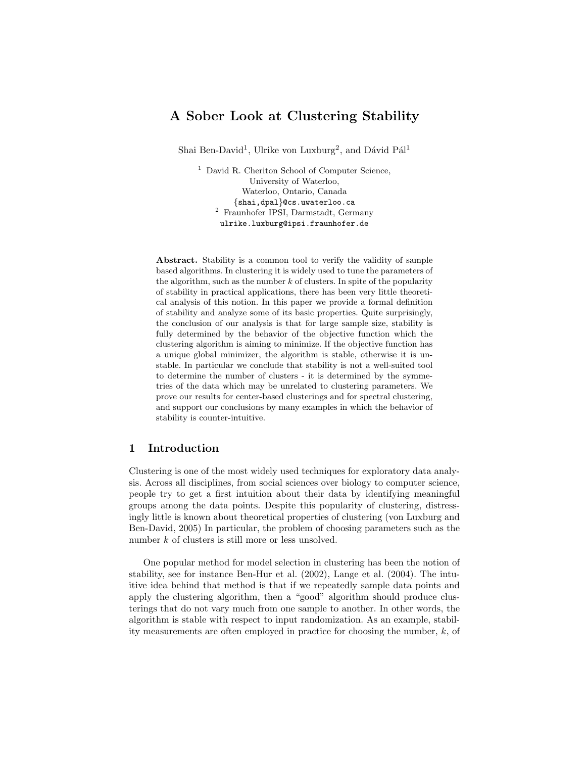# A Sober Look at Clustering Stability

Shai Ben-David<sup>1</sup>, Ulrike von Luxburg<sup>2</sup>, and Dávid Pál<sup>1</sup>

<sup>1</sup> David R. Cheriton School of Computer Science, University of Waterloo, Waterloo, Ontario, Canada {shai,dpal}@cs.uwaterloo.ca <sup>2</sup> Fraunhofer IPSI, Darmstadt, Germany ulrike.luxburg@ipsi.fraunhofer.de

Abstract. Stability is a common tool to verify the validity of sample based algorithms. In clustering it is widely used to tune the parameters of the algorithm, such as the number  $k$  of clusters. In spite of the popularity of stability in practical applications, there has been very little theoretical analysis of this notion. In this paper we provide a formal definition of stability and analyze some of its basic properties. Quite surprisingly, the conclusion of our analysis is that for large sample size, stability is fully determined by the behavior of the objective function which the clustering algorithm is aiming to minimize. If the objective function has a unique global minimizer, the algorithm is stable, otherwise it is unstable. In particular we conclude that stability is not a well-suited tool to determine the number of clusters - it is determined by the symmetries of the data which may be unrelated to clustering parameters. We prove our results for center-based clusterings and for spectral clustering, and support our conclusions by many examples in which the behavior of stability is counter-intuitive.

#### 1 Introduction

Clustering is one of the most widely used techniques for exploratory data analysis. Across all disciplines, from social sciences over biology to computer science, people try to get a first intuition about their data by identifying meaningful groups among the data points. Despite this popularity of clustering, distressingly little is known about theoretical properties of clustering (von Luxburg and Ben-David, 2005) In particular, the problem of choosing parameters such as the number k of clusters is still more or less unsolved.

One popular method for model selection in clustering has been the notion of stability, see for instance Ben-Hur et al. (2002), Lange et al. (2004). The intuitive idea behind that method is that if we repeatedly sample data points and apply the clustering algorithm, then a "good" algorithm should produce clusterings that do not vary much from one sample to another. In other words, the algorithm is stable with respect to input randomization. As an example, stability measurements are often employed in practice for choosing the number,  $k$ , of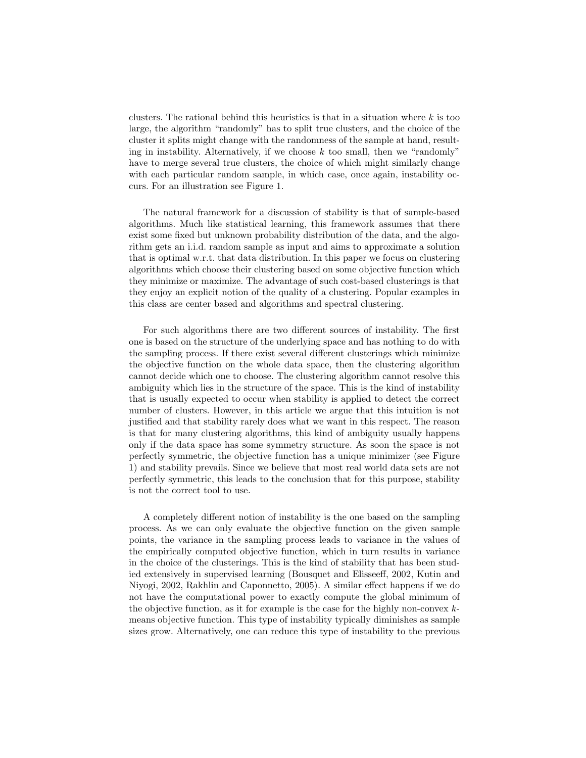clusters. The rational behind this heuristics is that in a situation where  $k$  is too large, the algorithm "randomly" has to split true clusters, and the choice of the cluster it splits might change with the randomness of the sample at hand, resulting in instability. Alternatively, if we choose  $k$  too small, then we "randomly" have to merge several true clusters, the choice of which might similarly change with each particular random sample, in which case, once again, instability occurs. For an illustration see Figure 1.

The natural framework for a discussion of stability is that of sample-based algorithms. Much like statistical learning, this framework assumes that there exist some fixed but unknown probability distribution of the data, and the algorithm gets an i.i.d. random sample as input and aims to approximate a solution that is optimal w.r.t. that data distribution. In this paper we focus on clustering algorithms which choose their clustering based on some objective function which they minimize or maximize. The advantage of such cost-based clusterings is that they enjoy an explicit notion of the quality of a clustering. Popular examples in this class are center based and algorithms and spectral clustering.

For such algorithms there are two different sources of instability. The first one is based on the structure of the underlying space and has nothing to do with the sampling process. If there exist several different clusterings which minimize the objective function on the whole data space, then the clustering algorithm cannot decide which one to choose. The clustering algorithm cannot resolve this ambiguity which lies in the structure of the space. This is the kind of instability that is usually expected to occur when stability is applied to detect the correct number of clusters. However, in this article we argue that this intuition is not justified and that stability rarely does what we want in this respect. The reason is that for many clustering algorithms, this kind of ambiguity usually happens only if the data space has some symmetry structure. As soon the space is not perfectly symmetric, the objective function has a unique minimizer (see Figure 1) and stability prevails. Since we believe that most real world data sets are not perfectly symmetric, this leads to the conclusion that for this purpose, stability is not the correct tool to use.

A completely different notion of instability is the one based on the sampling process. As we can only evaluate the objective function on the given sample points, the variance in the sampling process leads to variance in the values of the empirically computed objective function, which in turn results in variance in the choice of the clusterings. This is the kind of stability that has been studied extensively in supervised learning (Bousquet and Elisseeff, 2002, Kutin and Niyogi, 2002, Rakhlin and Caponnetto, 2005). A similar effect happens if we do not have the computational power to exactly compute the global minimum of the objective function, as it for example is the case for the highly non-convex  $k$ means objective function. This type of instability typically diminishes as sample sizes grow. Alternatively, one can reduce this type of instability to the previous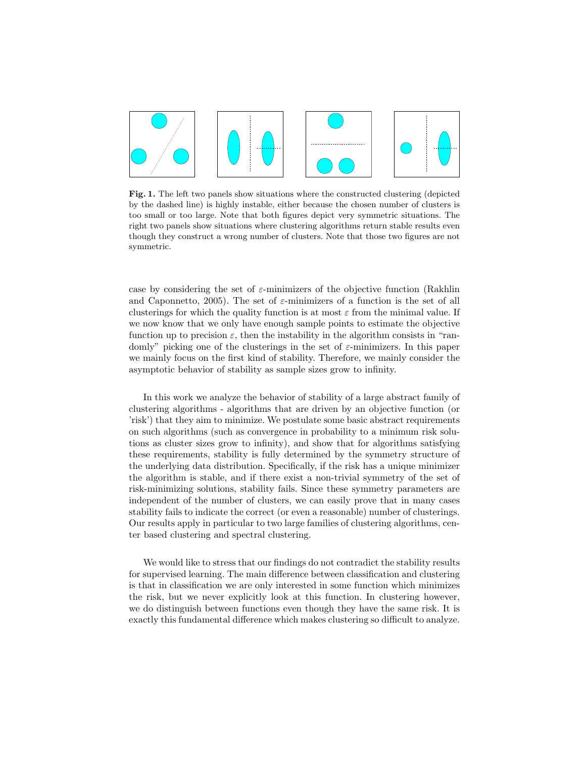

Fig. 1. The left two panels show situations where the constructed clustering (depicted by the dashed line) is highly instable, either because the chosen number of clusters is too small or too large. Note that both figures depict very symmetric situations. The right two panels show situations where clustering algorithms return stable results even though they construct a wrong number of clusters. Note that those two figures are not symmetric.

case by considering the set of  $\varepsilon$ -minimizers of the objective function (Rakhlin and Caponnetto, 2005). The set of  $\varepsilon$ -minimizers of a function is the set of all clusterings for which the quality function is at most  $\varepsilon$  from the minimal value. If we now know that we only have enough sample points to estimate the objective function up to precision  $\varepsilon$ , then the instability in the algorithm consists in "randomly" picking one of the clusterings in the set of  $\varepsilon$ -minimizers. In this paper we mainly focus on the first kind of stability. Therefore, we mainly consider the asymptotic behavior of stability as sample sizes grow to infinity.

In this work we analyze the behavior of stability of a large abstract family of clustering algorithms - algorithms that are driven by an objective function (or 'risk') that they aim to minimize. We postulate some basic abstract requirements on such algorithms (such as convergence in probability to a minimum risk solutions as cluster sizes grow to infinity), and show that for algorithms satisfying these requirements, stability is fully determined by the symmetry structure of the underlying data distribution. Specifically, if the risk has a unique minimizer the algorithm is stable, and if there exist a non-trivial symmetry of the set of risk-minimizing solutions, stability fails. Since these symmetry parameters are independent of the number of clusters, we can easily prove that in many cases stability fails to indicate the correct (or even a reasonable) number of clusterings. Our results apply in particular to two large families of clustering algorithms, center based clustering and spectral clustering.

We would like to stress that our findings do not contradict the stability results for supervised learning. The main difference between classification and clustering is that in classification we are only interested in some function which minimizes the risk, but we never explicitly look at this function. In clustering however, we do distinguish between functions even though they have the same risk. It is exactly this fundamental difference which makes clustering so difficult to analyze.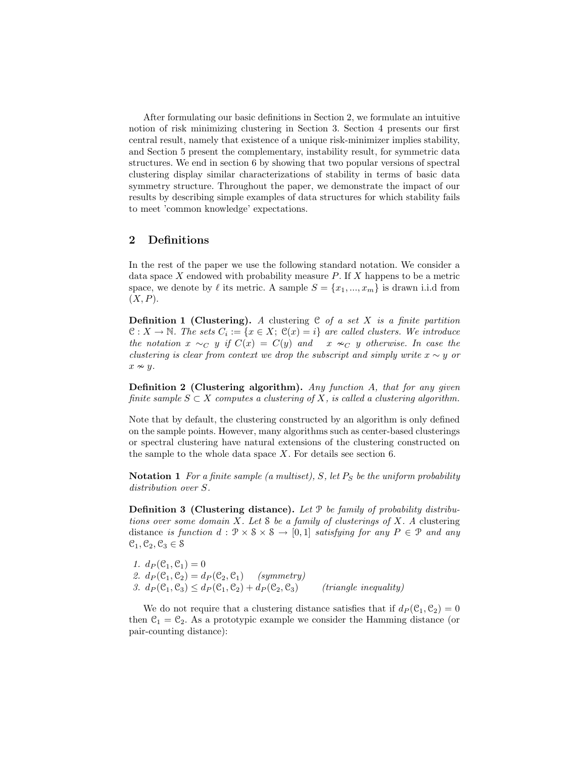After formulating our basic definitions in Section 2, we formulate an intuitive notion of risk minimizing clustering in Section 3. Section 4 presents our first central result, namely that existence of a unique risk-minimizer implies stability, and Section 5 present the complementary, instability result, for symmetric data structures. We end in section 6 by showing that two popular versions of spectral clustering display similar characterizations of stability in terms of basic data symmetry structure. Throughout the paper, we demonstrate the impact of our results by describing simple examples of data structures for which stability fails to meet 'common knowledge' expectations.

#### 2 Definitions

In the rest of the paper we use the following standard notation. We consider a data space  $X$  endowed with probability measure  $P$ . If  $X$  happens to be a metric space, we denote by  $\ell$  its metric. A sample  $S = \{x_1, ..., x_m\}$  is drawn i.i.d from  $(X, P)$ .

**Definition 1 (Clustering).** A clustering  $C$  of a set X is a finite partition  $\mathfrak{C}: X \to \mathbb{N}$ . The sets  $C_i := \{x \in X; \mathfrak{C}(x) = i\}$  are called clusters. We introduce the notation  $x \sim_C y$  if  $C(x) = C(y)$  and  $x \sim_C y$  otherwise. In case the clustering is clear from context we drop the subscript and simply write  $x \sim y$  or  $x \nsim y$ .

Definition 2 (Clustering algorithm). Any function A, that for any given finite sample  $S \subset X$  computes a clustering of X, is called a clustering algorithm.

Note that by default, the clustering constructed by an algorithm is only defined on the sample points. However, many algorithms such as center-based clusterings or spectral clustering have natural extensions of the clustering constructed on the sample to the whole data space  $X$ . For details see section 6.

Notation 1 For a finite sample (a multiset), S, let  $P_S$  be the uniform probability distribution over S.

**Definition 3 (Clustering distance).** Let  $P$  be family of probability distributions over some domain  $X$ . Let  $S$  be a family of clusterings of  $X$ . A clustering distance is function  $d : \mathcal{P} \times \mathcal{S} \times \mathcal{S} \rightarrow [0,1]$  satisfying for any  $P \in \mathcal{P}$  and any  $\mathcal{C}_1, \mathcal{C}_2, \mathcal{C}_3 \in \mathcal{S}$ 

1.  $d_P(\mathcal{C}_1, \mathcal{C}_1) = 0$ 2.  $d_P(\mathcal{C}_1, \mathcal{C}_2) = d_P(\mathcal{C}_2, \mathcal{C}_1)$  (symmetry) 3.  $d_P(\mathcal{C}_1, \mathcal{C}_3) \leq d_P(\mathcal{C}_1, \mathcal{C}_2) + d_P(\mathcal{C}_2, \mathcal{C}_3)$  (triangle inequality)

We do not require that a clustering distance satisfies that if  $d_P(\mathcal{C}_1, \mathcal{C}_2) = 0$ then  $C_1 = C_2$ . As a prototypic example we consider the Hamming distance (or pair-counting distance):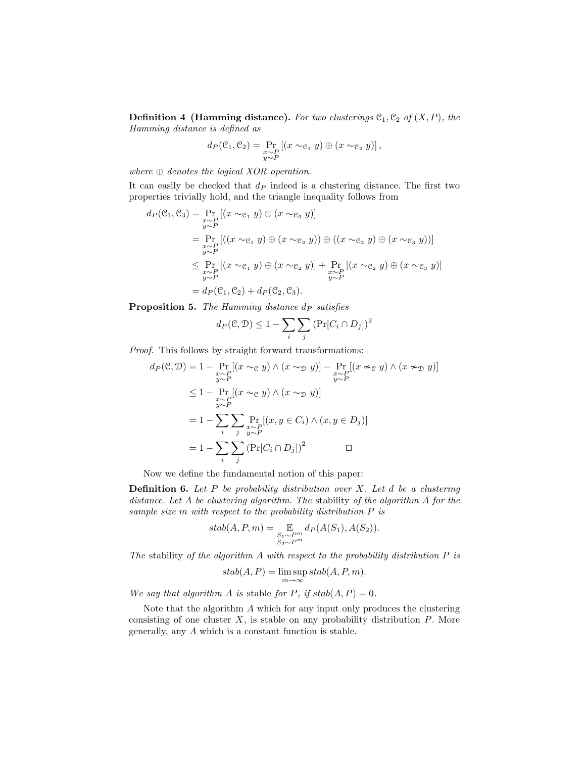**Definition 4 (Hamming distance).** For two clusterings  $C_1$ ,  $C_2$  of  $(X, P)$ , the Hamming distance is defined as

$$
d_P(\mathcal{C}_1, \mathcal{C}_2) = \Pr_{\substack{x \sim P \\ y \sim P}} [(x \sim_{\mathcal{C}_1} y) \oplus (x \sim_{\mathcal{C}_2} y)],
$$

where  $\oplus$  denotes the logical XOR operation.

It can easily be checked that  $d<sub>P</sub>$  indeed is a clustering distance. The first two properties trivially hold, and the triangle inequality follows from

$$
d_P(\mathcal{C}_1, \mathcal{C}_3) = \Pr_{\substack{x \sim P \\ y \sim P}} [(x \sim_{\mathcal{C}_1} y) \oplus (x \sim_{\mathcal{C}_3} y)]
$$
  
\n
$$
= \Pr_{\substack{x \sim P \\ y \sim P}} [(x \sim_{\mathcal{C}_1} y) \oplus (x \sim_{\mathcal{C}_2} y)) \oplus ((x \sim_{\mathcal{C}_2} y) \oplus (x \sim_{\mathcal{C}_3} y))]
$$
  
\n
$$
\leq \Pr_{\substack{x \sim P \\ y \sim P}} [(x \sim_{\mathcal{C}_1} y) \oplus (x \sim_{\mathcal{C}_2} y)] + \Pr_{\substack{x \sim P \\ y \sim P}} [(x \sim_{\mathcal{C}_2} y) \oplus (x \sim_{\mathcal{C}_3} y)]
$$
  
\n
$$
= d_P(\mathcal{C}_1, \mathcal{C}_2) + d_P(\mathcal{C}_2, \mathcal{C}_3).
$$

**Proposition 5.** The Hamming distance  $d_P$  satisfies

$$
d_P(\mathcal{C}, \mathcal{D}) \le 1 - \sum_i \sum_j (\Pr[C_i \cap D_j])^2
$$

Proof. This follows by straight forward transformations:

$$
d_P(\mathcal{C}, \mathcal{D}) = 1 - \Pr_{\substack{x \sim P \\ y \sim P}} [(x \sim_{\mathcal{C}} y) \land (x \sim_{\mathcal{D}} y)] - \Pr_{\substack{x \sim P \\ y \sim P}} [(x \approx_{\mathcal{C}} y) \land (x \approx_{\mathcal{D}} y)]
$$
  
\n
$$
\leq 1 - \Pr_{\substack{x \sim P \\ y \sim P}} [(x \sim_{\mathcal{C}} y) \land (x \sim_{\mathcal{D}} y)]
$$
  
\n
$$
= 1 - \sum_{i} \sum_{j} \Pr_{\substack{x \sim P \\ y \sim P}} [(x, y \in C_i) \land (x, y \in D_j)]
$$
  
\n
$$
= 1 - \sum_{i} \sum_{j} (\Pr[C_i \cap D_j])^2
$$

Now we define the fundamental notion of this paper:

**Definition 6.** Let  $P$  be probability distribution over  $X$ . Let  $d$  be a clustering distance. Let A be clustering algorithm. The stability of the algorithm A for the sample size m with respect to the probability distribution P is

$$
stab(A, P, m) = \mathop{\mathbb{E}}_{\substack{S_1 \sim P^m \\ S_2 \sim P^m}} d_P(A(S_1), A(S_2)).
$$

The stability of the algorithm  $A$  with respect to the probability distribution  $P$  is

$$
stab(A, P) = \limsup_{m \to \infty} stab(A, P, m).
$$

We say that algorithm A is stable for P, if  $stab(A, P) = 0$ .

Note that the algorithm  $A$  which for any input only produces the clustering consisting of one cluster  $X$ , is stable on any probability distribution  $P$ . More generally, any A which is a constant function is stable.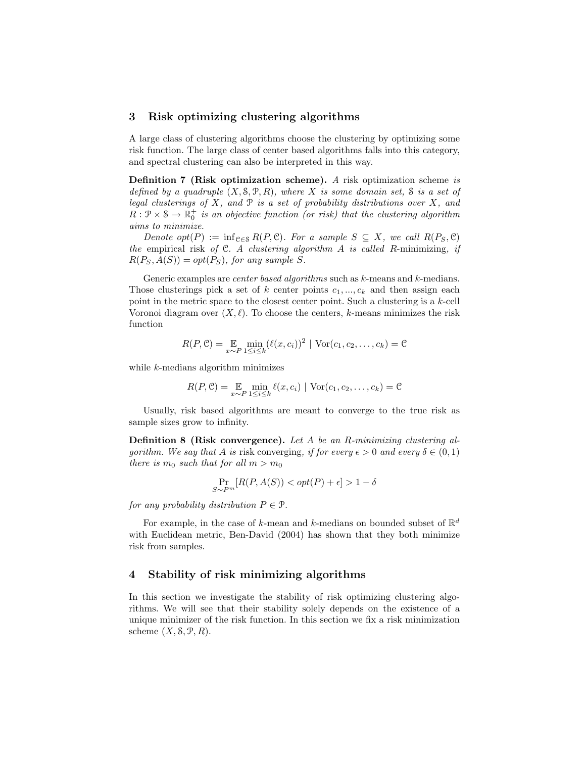#### 3 Risk optimizing clustering algorithms

A large class of clustering algorithms choose the clustering by optimizing some risk function. The large class of center based algorithms falls into this category, and spectral clustering can also be interpreted in this way.

Definition 7 (Risk optimization scheme). A risk optimization scheme is defined by a quadruple  $(X, \mathcal{S}, \mathcal{P}, R)$ , where X is some domain set, S is a set of legal clusterings of  $X$ , and  $\mathcal P$  is a set of probability distributions over  $X$ , and  $R: \mathcal{P} \times \mathcal{S} \to \mathbb{R}_0^+$  is an objective function (or risk) that the clustering algorithm aims to minimize.

Denote opt(P) := inf<sub>C∈S</sub> R(P, C). For a sample  $S \subseteq X$ , we call R(P<sub>S</sub>, C) the empirical risk of  $C$ . A clustering algorithm A is called R-minimizing, if  $R(P_S, A(S)) = opt(P_S)$ , for any sample S.

Generic examples are *center based algorithms* such as  $k$ -means and  $k$ -medians. Those clusterings pick a set of k center points  $c_1, ..., c_k$  and then assign each point in the metric space to the closest center point. Such a clustering is a k-cell Voronoi diagram over  $(X, \ell)$ . To choose the centers, k-means minimizes the risk function

$$
R(P, \mathcal{C}) = \mathop{\mathbb{E}}_{x \sim P} \min_{1 \leq i \leq k} (\ell(x, c_i))^2 \mid \text{Vor}(c_1, c_2, \dots, c_k) = \mathcal{C}
$$

while  $k$ -medians algorithm minimizes

$$
R(P, \mathcal{C}) = \mathop{\mathbb{E}}_{x \sim P} \min_{1 \leq i \leq k} \ell(x, c_i) \mid \text{Vor}(c_1, c_2, \dots, c_k) = \mathcal{C}
$$

Usually, risk based algorithms are meant to converge to the true risk as sample sizes grow to infinity.

Definition 8 (Risk convergence). Let A be an R-minimizing clustering algorithm. We say that A is risk converging, if for every  $\epsilon > 0$  and every  $\delta \in (0,1)$ there is  $m_0$  such that for all  $m > m_0$ 

$$
\Pr_{S \sim P^m}[R(P,A(S)) < opt(P) + \epsilon] > 1 - \delta
$$

for any probability distribution  $P \in \mathcal{P}$ .

For example, in the case of k-mean and k-medians on bounded subset of  $\mathbb{R}^d$ with Euclidean metric, Ben-David  $(2004)$  has shown that they both minimize risk from samples.

### 4 Stability of risk minimizing algorithms

In this section we investigate the stability of risk optimizing clustering algorithms. We will see that their stability solely depends on the existence of a unique minimizer of the risk function. In this section we fix a risk minimization scheme  $(X, \mathcal{S}, \mathcal{P}, R)$ .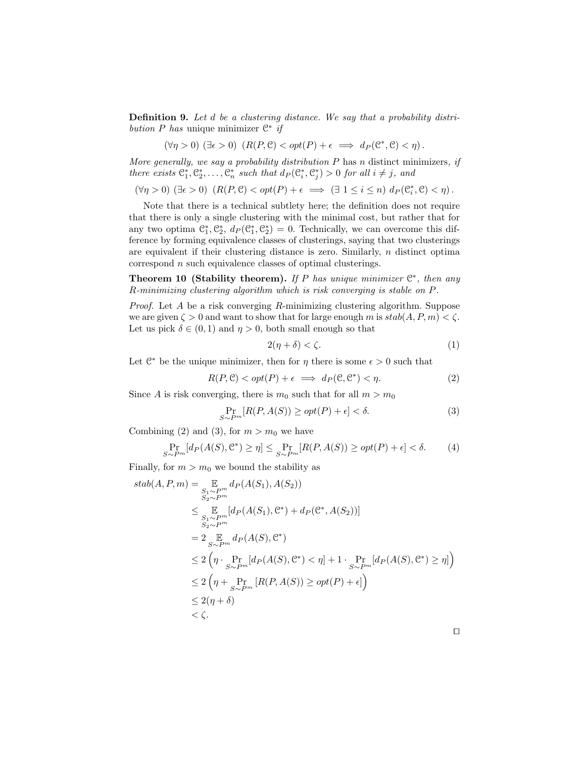**Definition 9.** Let d be a clustering distance. We say that a probability distribution P has unique minimizer  $C^*$  if

$$
(\forall \eta > 0) \; (\exists \epsilon > 0) \; (R(P, \mathcal{C}) < opt(P) + \epsilon \implies d_P(\mathcal{C}^*, \mathcal{C}) < \eta).
$$

More generally, we say a probability distribution  $P$  has n distinct minimizers, if there exists  $\mathcal{C}_1^*, \mathcal{C}_2^*, \ldots, \mathcal{C}_n^*$  such that  $d_P(\mathcal{C}_i^*, \mathcal{C}_j^*) > 0$  for all  $i \neq j$ , and

 $(\forall \eta > 0) \ (\exists \epsilon > 0) \ (R(P, \mathcal{C}) < opt(P) + \epsilon \implies (\exists 1 \leq i \leq n) \ d_P(\mathcal{C}_i^*, \mathcal{C}) < \eta).$ 

Note that there is a technical subtlety here; the definition does not require that there is only a single clustering with the minimal cost, but rather that for any two optima  $\mathcal{C}_1^*, \mathcal{C}_2^*, d_P(\mathcal{C}_1^*, \mathcal{C}_2^*) = 0$ . Technically, we can overcome this difference by forming equivalence classes of clusterings, saying that two clusterings are equivalent if their clustering distance is zero. Similarly,  $n$  distinct optima correspond n such equivalence classes of optimal clusterings.

Theorem 10 (Stability theorem). If P has unique minimizer  $\mathbb{C}^*$ , then any R-minimizing clustering algorithm which is risk converging is stable on P.

Proof. Let A be a risk converging R-minimizing clustering algorithm. Suppose we are given  $\zeta > 0$  and want to show that for large enough m is  $stab(A, P, m) < \zeta$ . Let us pick  $\delta \in (0,1)$  and  $\eta > 0$ , both small enough so that

$$
2(\eta + \delta) < \zeta. \tag{1}
$$

Let  $\mathbb{C}^*$  be the unique minimizer, then for  $\eta$  there is some  $\epsilon > 0$  such that

$$
R(P, \mathcal{C}) < opt(P) + \epsilon \implies d_P(\mathcal{C}, \mathcal{C}^*) < \eta. \tag{2}
$$

Since A is risk converging, there is  $m_0$  such that for all  $m > m_0$ 

$$
\Pr_{S \sim P^m} [R(P, A(S)) \ge opt(P) + \epsilon] < \delta.
$$
 (3)

Combining (2) and (3), for  $m > m_0$  we have

$$
\Pr_{S \sim P^m}[d_P(A(S), \mathcal{C}^*) \ge \eta] \le \Pr_{S \sim P^m}[R(P, A(S)) \ge opt(P) + \epsilon] < \delta. \tag{4}
$$

Finally, for  $m > m_0$  we bound the stability as

$$
stab(A, P, m) = \underset{S_1 \sim P^m}{\mathbb{E}} dp(A(S_1), A(S_2))
$$
  
\n
$$
\leq \underset{S_2 \sim P^m}{\mathbb{E}} dp(A(S_1), C^*) + d_P(C^*, A(S_2))
$$
  
\n
$$
\leq \underset{S_2 \sim P^m}{\mathbb{E}} dp(A(S_1), C^*) + d_P(C^*, A(S_2))
$$
  
\n
$$
= 2 \underset{S \sim P^m}{\mathbb{E}} dp(A(S), C^*)
$$
  
\n
$$
\leq 2 \left( \eta \cdot \underset{S \sim P^m}{\Pr} [d_P(A(S), C^*) < \eta] + 1 \cdot \underset{S \sim P^m}{\Pr} [d_P(A(S), C^*) \geq \eta] \right)
$$
  
\n
$$
\leq 2 \left( \eta + \underset{S \sim P^m}{\Pr} [R(P, A(S)) \geq opt(P) + \epsilon] \right)
$$
  
\n
$$
\leq 2(\eta + \delta)
$$
  
\n
$$
< \zeta.
$$

 $\Box$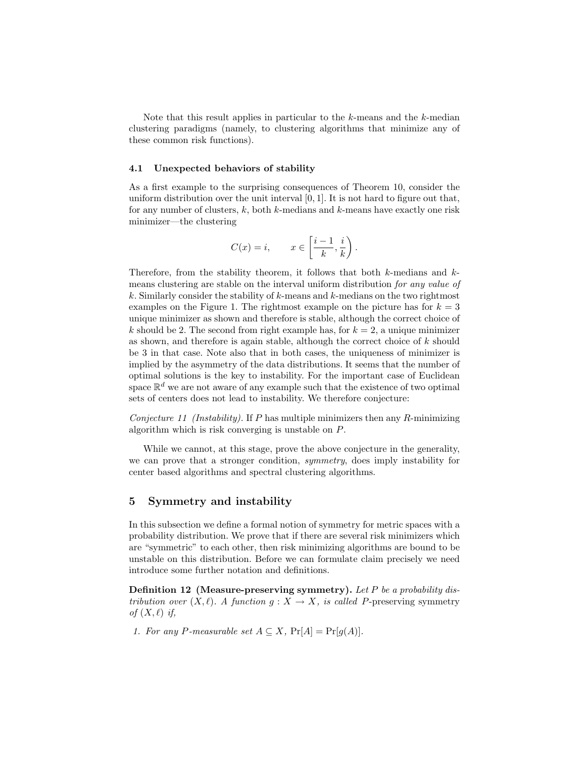Note that this result applies in particular to the  $k$ -means and the  $k$ -median clustering paradigms (namely, to clustering algorithms that minimize any of these common risk functions).

#### 4.1 Unexpected behaviors of stability

As a first example to the surprising consequences of Theorem 10, consider the uniform distribution over the unit interval  $[0, 1]$ . It is not hard to figure out that, for any number of clusters,  $k$ , both  $k$ -medians and  $k$ -means have exactly one risk minimizer—the clustering

$$
C(x) = i, \qquad x \in \left[\frac{i-1}{k}, \frac{i}{k}\right).
$$

Therefore, from the stability theorem, it follows that both  $k$ -medians and  $k$ means clustering are stable on the interval uniform distribution for any value of k. Similarly consider the stability of  $k$ -means and  $k$ -medians on the two rightmost examples on the Figure 1. The rightmost example on the picture has for  $k = 3$ unique minimizer as shown and therefore is stable, although the correct choice of k should be 2. The second from right example has, for  $k = 2$ , a unique minimizer as shown, and therefore is again stable, although the correct choice of  $k$  should be 3 in that case. Note also that in both cases, the uniqueness of minimizer is implied by the asymmetry of the data distributions. It seems that the number of optimal solutions is the key to instability. For the important case of Euclidean space  $\mathbb{R}^d$  we are not aware of any example such that the existence of two optimal sets of centers does not lead to instability. We therefore conjecture:

Conjecture 11 (Instability). If P has multiple minimizers then any R-minimizing algorithm which is risk converging is unstable on P.

While we cannot, at this stage, prove the above conjecture in the generality, we can prove that a stronger condition, symmetry, does imply instability for center based algorithms and spectral clustering algorithms.

#### 5 Symmetry and instability

In this subsection we define a formal notion of symmetry for metric spaces with a probability distribution. We prove that if there are several risk minimizers which are "symmetric" to each other, then risk minimizing algorithms are bound to be unstable on this distribution. Before we can formulate claim precisely we need introduce some further notation and definitions.

Definition 12 (Measure-preserving symmetry). Let P be a probability distribution over  $(X, \ell)$ . A function  $g : X \to X$ , is called P-preserving symmetry of  $(X, \ell)$  if,

1. For any P-measurable set  $A \subseteq X$ ,  $Pr[A] = Pr[g(A)]$ .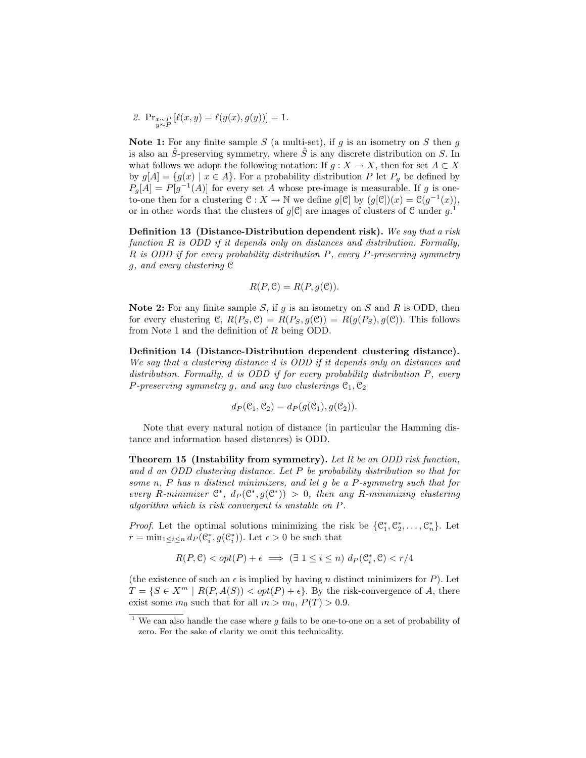2. 
$$
\Pr_{\substack{x \sim P \\ y \sim P}} [\ell(x, y) = \ell(g(x), g(y))] = 1.
$$

Note 1: For any finite sample  $S$  (a multi-set), if  $g$  is an isometry on  $S$  then  $g$ is also an S-preserving symmetry, where  $S$  is any discrete distribution on  $S$ . In what follows we adopt the following notation: If  $g: X \to X$ , then for set  $A \subset X$ by  $g[A] = \{g(x) \mid x \in A\}$ . For a probability distribution P let  $P_q$  be defined by  $P_g[A] = P[g^{-1}(A)]$  for every set A whose pre-image is measurable. If g is oneto-one then for a clustering  $\mathcal{C}: X \to \mathbb{N}$  we define  $g[\mathcal{C}]$  by  $(g[\mathcal{C}])(x) = \mathcal{C}(g^{-1}(x)),$ or in other words that the clusters of  $g[\mathcal{C}]$  are images of clusters of  $\mathcal{C}$  under  $g$ <sup>1</sup>

Definition 13 (Distance-Distribution dependent risk). We say that a risk function R is ODD if it depends only on distances and distribution. Formally, R is ODD if for every probability distribution P, every P-preserving symmetry g, and every clustering C

$$
R(P, \mathcal{C}) = R(P, g(\mathcal{C})).
$$

Note 2: For any finite sample S, if q is an isometry on S and R is ODD, then for every clustering  $\mathcal{C}, R(P_S, \mathcal{C}) = R(P_S, g(\mathcal{C})) = R(g(P_S), g(\mathcal{C}))$ . This follows from Note 1 and the definition of R being ODD.

Definition 14 (Distance-Distribution dependent clustering distance). We say that a clustering distance d is ODD if it depends only on distances and distribution. Formally, d is ODD if for every probability distribution P, every P-preserving symmetry q, and any two clusterings  $C_1, C_2$ 

$$
d_P(\mathcal{C}_1, \mathcal{C}_2) = d_P(g(\mathcal{C}_1), g(\mathcal{C}_2)).
$$

Note that every natural notion of distance (in particular the Hamming distance and information based distances) is ODD.

**Theorem 15 (Instability from symmetry).** Let  $R$  be an ODD risk function, and d an ODD clustering distance. Let P be probability distribution so that for some n, P has n distinct minimizers, and let g be a P-symmetry such that for every R-minimizer  $\mathbb{C}^*, d_P(\mathbb{C}^*, g(\mathbb{C}^*)) > 0$ , then any R-minimizing clustering algorithm which is risk convergent is unstable on P.

*Proof.* Let the optimal solutions minimizing the risk be  $\{C_1^*, C_2^*, \ldots, C_n^*\}$ . Let  $r = \min_{1 \leq i \leq n} d_P(\mathcal{C}_i^*, g(\mathcal{C}_i^*)).$  Let  $\epsilon > 0$  be such that

$$
R(P, \mathcal{C}) < opt(P) + \epsilon \implies (\exists \ 1 \le i \le n) \ d_P(\mathcal{C}_i^*, \mathcal{C}) < r/4
$$

(the existence of such an  $\epsilon$  is implied by having n distinct minimizers for P). Let  $T = \{S \in X^m \mid R(P, A(S)) < opt(P) + \epsilon\}.$  By the risk-convergence of A, there exist some  $m_0$  such that for all  $m > m_0$ ,  $P(T) > 0.9$ .

 $^{\rm 1}$  We can also handle the case where  $g$  fails to be one-to-one on a set of probability of zero. For the sake of clarity we omit this technicality.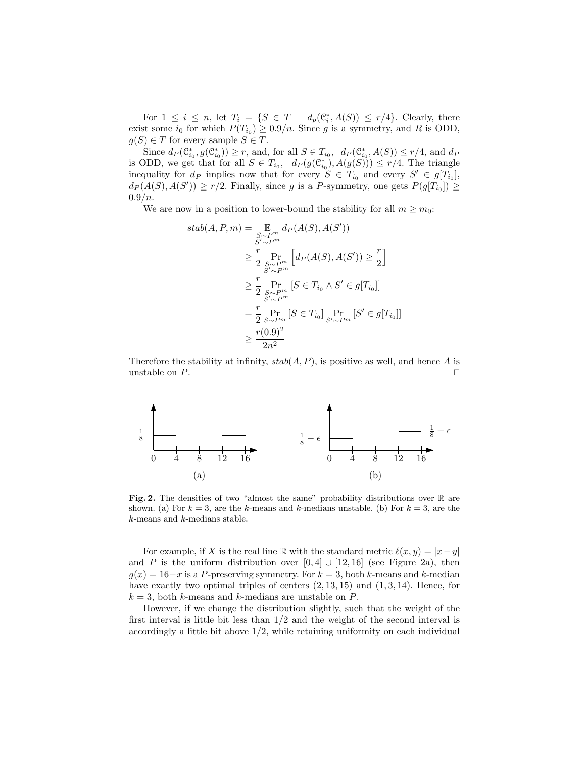For  $1 \leq i \leq n$ , let  $T_i = \{ S \in T \mid d_p(\mathcal{C}_i^*, A(S)) \leq r/4 \}$ . Clearly, there exist some  $i_0$  for which  $P(T_{i_0}) \geq 0.9/n$ . Since g is a symmetry, and R is ODD,  $g(S) \in T$  for every sample  $S \in T$ .

Since  $d_P(\mathcal{C}_{i_0}^*, g(\mathcal{C}_{i_0}^*)) \geq r$ , and, for all  $S \in T_{i_0}$ ,  $d_P(\mathcal{C}_{i_0}^*, A(S)) \leq r/4$ , and  $d_P$ is ODD, we get that for all  $S \in T_{i_0}$ ,  $d_P(g(\mathcal{C}_{i_0}^*), A(g(S))) \leq r/4$ . The triangle inequality for  $d_P$  implies now that for every  $S \in T_{i_0}$  and every  $S' \in g[T_{i_0}],$  $d_P(A(S), A(S')) \geq r/2$ . Finally, since g is a P-symmetry, one gets  $P(g[T_{i_0}]) \geq$  $0.9/n$ .

We are now in a position to lower-bound the stability for all  $m \geq m_0$ :

$$
stab(A, P, m) = \mathop{\mathbb{E}}_{S \sim P^{m}} dp(A(S), A(S'))
$$
  
\n
$$
\geq \frac{r}{2} \mathop{\mathbb{P}}_{S \sim P^{m}} \left[ d_{P}(A(S), A(S')) \geq \frac{r}{2} \right]
$$
  
\n
$$
\geq \frac{r}{2} \mathop{\mathbb{P}}_{S' \sim P^{m}} \left[ S \in T_{i_{0}} \wedge S' \in g[T_{i_{0}}] \right]
$$
  
\n
$$
= \frac{r}{2} \mathop{\mathbb{P}}_{S \sim P^{m}} \left[ S \in T_{i_{0}} \right] \mathop{\mathbb{P}}_{S' \sim P^{m}} \left[ S' \in g[T_{i_{0}}] \right]
$$
  
\n
$$
\geq \frac{r(0.9)^{2}}{2n^{2}}
$$

Therefore the stability at infinity,  $stab(A, P)$ , is positive as well, and hence A is unstable on  $P$ .



Fig. 2. The densities of two "almost the same" probability distributions over  $\mathbb R$  are shown. (a) For  $k = 3$ , are the k-means and k-medians unstable. (b) For  $k = 3$ , are the  $k$ -means and  $k$ -medians stable.

For example, if X is the real line R with the standard metric  $\ell(x, y) = |x - y|$ and P is the uniform distribution over  $[0, 4] \cup [12, 16]$  (see Figure 2a), then  $g(x) = 16-x$  is a P-preserving symmetry. For  $k = 3$ , both k-means and k-median have exactly two optimal triples of centers  $(2, 13, 15)$  and  $(1, 3, 14)$ . Hence, for  $k = 3$ , both k-means and k-medians are unstable on P.

However, if we change the distribution slightly, such that the weight of the first interval is little bit less than 1/2 and the weight of the second interval is accordingly a little bit above  $1/2$ , while retaining uniformity on each individual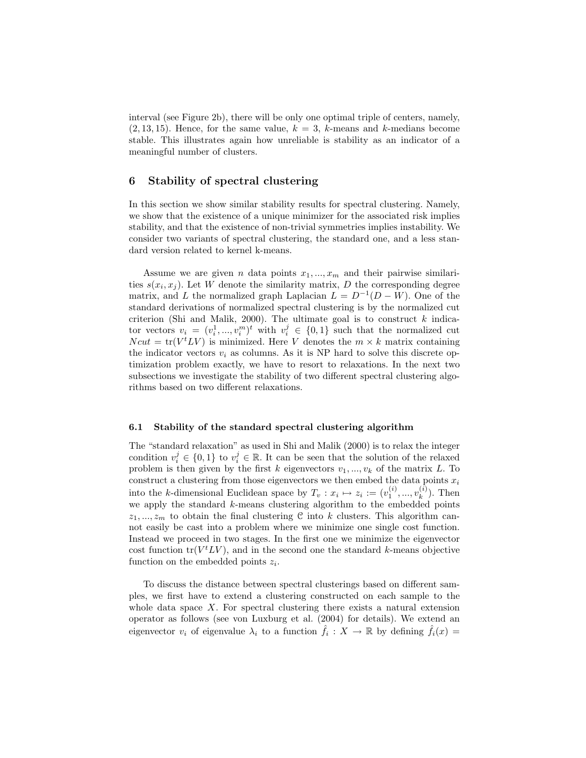interval (see Figure 2b), there will be only one optimal triple of centers, namely,  $(2, 13, 15)$ . Hence, for the same value,  $k = 3$ , k-means and k-medians become stable. This illustrates again how unreliable is stability as an indicator of a meaningful number of clusters.

### 6 Stability of spectral clustering

In this section we show similar stability results for spectral clustering. Namely, we show that the existence of a unique minimizer for the associated risk implies stability, and that the existence of non-trivial symmetries implies instability. We consider two variants of spectral clustering, the standard one, and a less standard version related to kernel k-means.

Assume we are given *n* data points  $x_1, ..., x_m$  and their pairwise similarities  $s(x_i, x_j)$ . Let W denote the similarity matrix, D the corresponding degree matrix, and L the normalized graph Laplacian  $L = D^{-1}(D - W)$ . One of the standard derivations of normalized spectral clustering is by the normalized cut criterion (Shi and Malik, 2000). The ultimate goal is to construct  $k$  indicator vectors  $v_i = (v_i^1, ..., v_i^m)^t$  with  $v_i^j \in \{0, 1\}$  such that the normalized cut  $Ncut = \text{tr}(V^t L V)$  is minimized. Here V denotes the  $m \times k$  matrix containing the indicator vectors  $v_i$  as columns. As it is NP hard to solve this discrete optimization problem exactly, we have to resort to relaxations. In the next two subsections we investigate the stability of two different spectral clustering algorithms based on two different relaxations.

#### 6.1 Stability of the standard spectral clustering algorithm

The "standard relaxation" as used in Shi and Malik (2000) is to relax the integer condition  $v_i^j \in \{0,1\}$  to  $v_i^j \in \mathbb{R}$ . It can be seen that the solution of the relaxed problem is then given by the first k eigenvectors  $v_1, ..., v_k$  of the matrix L. To construct a clustering from those eigenvectors we then embed the data points  $x_i$ into the *k*-dimensional Euclidean space by  $T_v : x_i \mapsto z_i := (v_1^{(i)}, ..., v_k^{(i)})$  $\binom{n}{k}$ . Then we apply the standard k-means clustering algorithm to the embedded points  $z_1, \ldots, z_m$  to obtain the final clustering C into k clusters. This algorithm cannot easily be cast into a problem where we minimize one single cost function. Instead we proceed in two stages. In the first one we minimize the eigenvector cost function  $tr(V^t L V)$ , and in the second one the standard k-means objective function on the embedded points  $z_i$ .

To discuss the distance between spectral clusterings based on different samples, we first have to extend a clustering constructed on each sample to the whole data space  $X$ . For spectral clustering there exists a natural extension operator as follows (see von Luxburg et al. (2004) for details). We extend an eigenvector  $v_i$  of eigenvalue  $\lambda_i$  to a function  $\hat{f}_i : X \to \mathbb{R}$  by defining  $\hat{f}_i(x) =$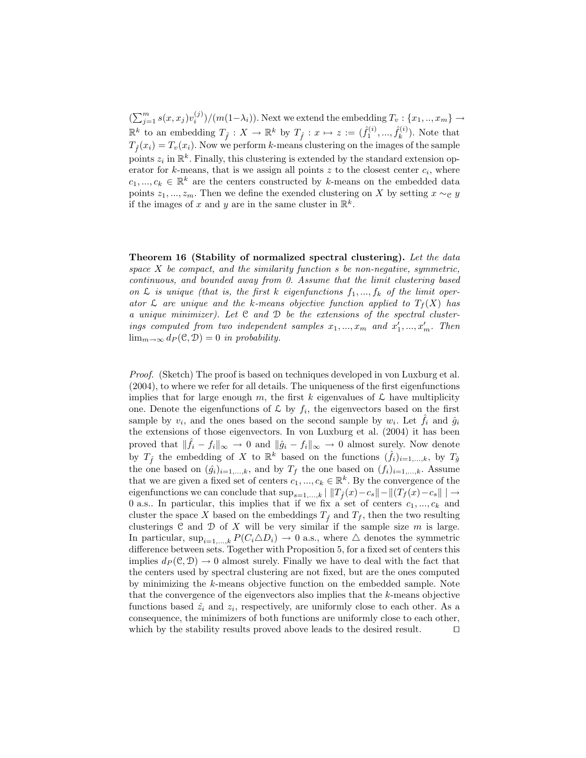$(\sum_{j=1}^m s(x,x_j)v_i^{(j)})/(m(1-\lambda_i))$ . Next we extend the embedding  $T_v: \{x_1,..,x_m\} \to$  $\mathbb{R}^k$  to an embedding  $T_{\hat{f}}: X \to \mathbb{R}^k$  by  $T_{\hat{f}}: x \mapsto z := (\hat{f}_1^{(i)}, ..., \hat{f}_k^{(i)})$  $\binom{n}{k}$ . Note that  $T_{\hat{f}}(x_i) = T_v(x_i)$ . Now we perform k-means clustering on the images of the sample points  $z_i$  in  $\mathbb{R}^k$ . Finally, this clustering is extended by the standard extension operator for k-means, that is we assign all points  $z$  to the closest center  $c_i$ , where  $c_1, ..., c_k \in \mathbb{R}^k$  are the centers constructed by k-means on the embedded data points  $z_1, ..., z_m$ . Then we define the exended clustering on X by setting  $x \sim_{\mathfrak{C}} y$ if the images of x and y are in the same cluster in  $\mathbb{R}^k$ .

Theorem 16 (Stability of normalized spectral clustering). Let the data space  $X$  be compact, and the similarity function  $s$  be non-negative, symmetric, continuous, and bounded away from 0. Assume that the limit clustering based on  $\mathcal L$  is unique (that is, the first k eigenfunctions  $f_1, ..., f_k$  of the limit operator L are unique and the k-means objective function applied to  $T_f(X)$  has a unique minimizer). Let C and D be the extensions of the spectral clusterings computed from two independent samples  $x_1, ..., x_m$  and  $x'_1, ..., x'_m$ . Then  $\lim_{m\to\infty} d_P(\mathcal{C}, \mathcal{D}) = 0$  in probability.

Proof. (Sketch) The proof is based on techniques developed in von Luxburg et al. (2004), to where we refer for all details. The uniqueness of the first eigenfunctions implies that for large enough m, the first k eigenvalues of  $\mathcal L$  have multiplicity one. Denote the eigenfunctions of  $\mathcal{L}$  by  $f_i$ , the eigenvectors based on the first sample by  $v_i$ , and the ones based on the second sample by  $w_i$ . Let  $\hat{f}_i$  and  $\hat{g}_i$ the extensions of those eigenvectors. In von Luxburg et al. (2004) it has been proved that  $\|\hat{f}_i - f_i\|_{\infty} \to 0$  and  $\|\hat{g}_i - f_i\|_{\infty} \to 0$  almost surely. Now denote by  $T_{\hat{f}}$  the embedding of X to  $\mathbb{R}^k$  based on the functions  $(\hat{f}_i)_{i=1,\dots,k}$ , by  $T_{\hat{g}}$ the one based on  $(\hat{g}_i)_{i=1,\ldots,k}$ , and by  $T_f$  the one based on  $(f_i)_{i=1,\ldots,k}$ . Assume that we are given a fixed set of centers  $c_1, ..., c_k \in \mathbb{R}^k$ . By the convergence of the eigenfunctions we can conclude that  $\sup_{s=1,\dots,k} ||T_{\hat{f}}(x)-c_s||-||(T_{f}(x)-c_s|| \to$ 0 a.s.. In particular, this implies that if we fix a set of centers  $c_1, ..., c_k$  and cluster the space X based on the embeddings  $T_f$  and  $T_f$ , then the two resulting clusterings  $C$  and  $D$  of X will be very similar if the sample size  $m$  is large. In particular,  $\sup_{i=1,\dots,k} P(C_i \triangle D_i) \to 0$  a.s., where  $\triangle$  denotes the symmetric difference between sets. Together with Proposition 5, for a fixed set of centers this implies  $d_P(\mathcal{C}, \mathcal{D}) \to 0$  almost surely. Finally we have to deal with the fact that the centers used by spectral clustering are not fixed, but are the ones computed by minimizing the k-means objective function on the embedded sample. Note that the convergence of the eigenvectors also implies that the  $k$ -means objective functions based  $\hat{z}_i$  and  $z_i$ , respectively, are uniformly close to each other. As a consequence, the minimizers of both functions are uniformly close to each other, which by the stability results proved above leads to the desired result.  $\Box$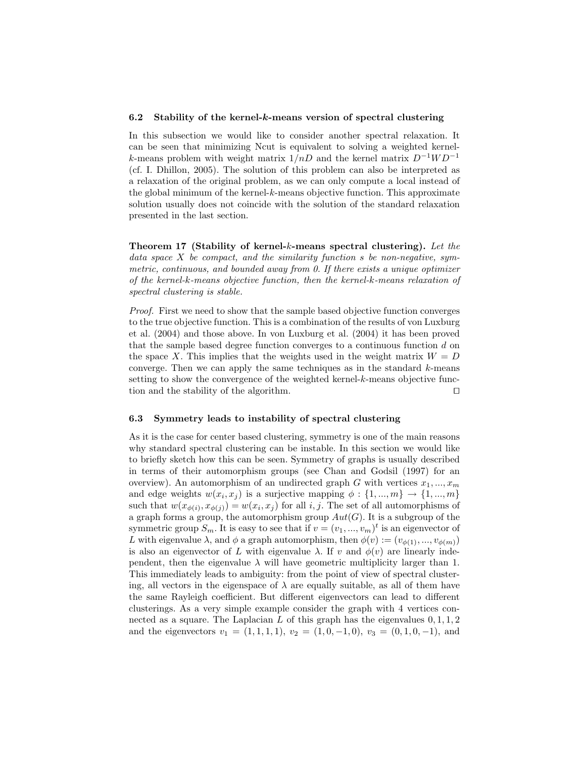#### 6.2 Stability of the kernel-k-means version of spectral clustering

In this subsection we would like to consider another spectral relaxation. It can be seen that minimizing Ncut is equivalent to solving a weighted kernelk-means problem with weight matrix  $1/nD$  and the kernel matrix  $D^{-1}WD^{-1}$ (cf. I. Dhillon, 2005). The solution of this problem can also be interpreted as a relaxation of the original problem, as we can only compute a local instead of the global minimum of the kernel- $k$ -means objective function. This approximate solution usually does not coincide with the solution of the standard relaxation presented in the last section.

Theorem 17 (Stability of kernel-k-means spectral clustering). Let the data space  $X$  be compact, and the similarity function  $s$  be non-negative, symmetric, continuous, and bounded away from 0. If there exists a unique optimizer of the kernel-k-means objective function, then the kernel-k-means relaxation of spectral clustering is stable.

Proof. First we need to show that the sample based objective function converges to the true objective function. This is a combination of the results of von Luxburg et al. (2004) and those above. In von Luxburg et al. (2004) it has been proved that the sample based degree function converges to a continuous function d on the space X. This implies that the weights used in the weight matrix  $W = D$ converge. Then we can apply the same techniques as in the standard  $k$ -means setting to show the convergence of the weighted kernel-k-means objective function and the stability of the algorithm.  $\Box$ 

#### 6.3 Symmetry leads to instability of spectral clustering

As it is the case for center based clustering, symmetry is one of the main reasons why standard spectral clustering can be instable. In this section we would like to briefly sketch how this can be seen. Symmetry of graphs is usually described in terms of their automorphism groups (see Chan and Godsil (1997) for an overview). An automorphism of an undirected graph G with vertices  $x_1, ..., x_m$ and edge weights  $w(x_i, x_j)$  is a surjective mapping  $\phi : \{1, ..., m\} \rightarrow \{1, ..., m\}$ such that  $w(x_{\phi(i)}, x_{\phi(j)}) = w(x_i, x_j)$  for all *i*, *j*. The set of all automorphisms of a graph forms a group, the automorphism group  $Aut(G)$ . It is a subgroup of the symmetric group  $S_m$ . It is easy to see that if  $v = (v_1, ..., v_m)^t$  is an eigenvector of L with eigenvalue  $\lambda$ , and  $\phi$  a graph automorphism, then  $\phi(v) := (v_{\phi(1)}, ..., v_{\phi(m)})$ is also an eigenvector of L with eigenvalue  $\lambda$ . If v and  $\phi(v)$  are linearly independent, then the eigenvalue  $\lambda$  will have geometric multiplicity larger than 1. This immediately leads to ambiguity: from the point of view of spectral clustering, all vectors in the eigenspace of  $\lambda$  are equally suitable, as all of them have the same Rayleigh coefficient. But different eigenvectors can lead to different clusterings. As a very simple example consider the graph with 4 vertices connected as a square. The Laplacian  $L$  of this graph has the eigenvalues  $0, 1, 1, 2$ and the eigenvectors  $v_1 = (1, 1, 1, 1), v_2 = (1, 0, -1, 0), v_3 = (0, 1, 0, -1),$  and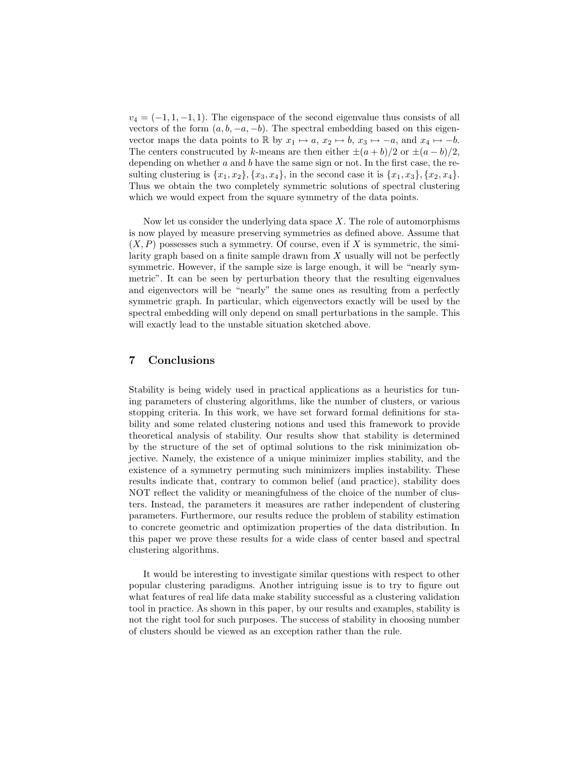$v_4 = (-1, 1, -1, 1)$ . The eigenspace of the second eigenvalue thus consists of all vectors of the form  $(a, b, -a, -b)$ . The spectral embedding based on this eigenvector maps the data points to R by  $x_1 \mapsto a$ ,  $x_2 \mapsto b$ ,  $x_3 \mapsto -a$ , and  $x_4 \mapsto -b$ . The centers construcuted by k-means are then either  $\pm (a + b)/2$  or  $\pm (a - b)/2$ , depending on whether  $a$  and  $b$  have the same sign or not. In the first case, the resulting clustering is  $\{x_1, x_2\}, \{x_3, x_4\},$  in the second case it is  $\{x_1, x_3\}, \{x_2, x_4\}.$ Thus we obtain the two completely symmetric solutions of spectral clustering which we would expect from the square symmetry of the data points.

Now let us consider the underlying data space  $X$ . The role of automorphisms is now played by measure preserving symmetries as defined above. Assume that  $(X, P)$  possesses such a symmetry. Of course, even if X is symmetric, the similarity graph based on a finite sample drawn from  $X$  usually will not be perfectly symmetric. However, if the sample size is large enough, it will be "nearly symmetric". It can be seen by perturbation theory that the resulting eigenvalues and eigenvectors will be "nearly" the same ones as resulting from a perfectly symmetric graph. In particular, which eigenvectors exactly will be used by the spectral embedding will only depend on small perturbations in the sample. This will exactly lead to the unstable situation sketched above.

## 7 Conclusions

Stability is being widely used in practical applications as a heuristics for tuning parameters of clustering algorithms, like the number of clusters, or various stopping criteria. In this work, we have set forward formal definitions for stability and some related clustering notions and used this framework to provide theoretical analysis of stability. Our results show that stability is determined by the structure of the set of optimal solutions to the risk minimization objective. Namely, the existence of a unique minimizer implies stability, and the existence of a symmetry permuting such minimizers implies instability. These results indicate that, contrary to common belief (and practice), stability does NOT reflect the validity or meaningfulness of the choice of the number of clusters. Instead, the parameters it measures are rather independent of clustering parameters. Furthermore, our results reduce the problem of stability estimation to concrete geometric and optimization properties of the data distribution. In this paper we prove these results for a wide class of center based and spectral clustering algorithms.

It would be interesting to investigate similar questions with respect to other popular clustering paradigms. Another intriguing issue is to try to figure out what features of real life data make stability successful as a clustering validation tool in practice. As shown in this paper, by our results and examples, stability is not the right tool for such purposes. The success of stability in choosing number of clusters should be viewed as an exception rather than the rule.